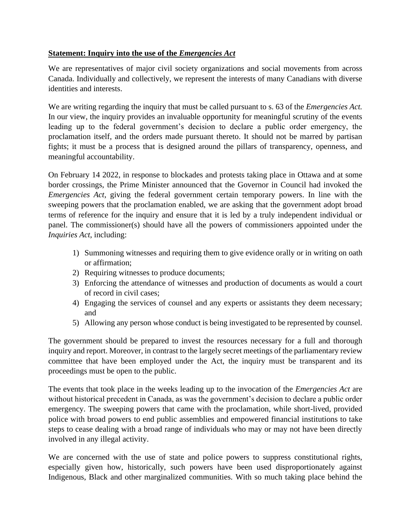## **Statement: Inquiry into the use of the** *Emergencies Act*

We are representatives of major civil society organizations and social movements from across Canada. Individually and collectively, we represent the interests of many Canadians with diverse identities and interests.

We are writing regarding the inquiry that must be called pursuant to s. 63 of the *Emergencies Act.*  In our view, the inquiry provides an invaluable opportunity for meaningful scrutiny of the events leading up to the federal government's decision to declare a public order emergency, the proclamation itself, and the orders made pursuant thereto. It should not be marred by partisan fights; it must be a process that is designed around the pillars of transparency, openness, and meaningful accountability.

On February 14 2022, in response to blockades and protests taking place in Ottawa and at some border crossings, the Prime Minister announced that the Governor in Council had invoked the *Emergencies Act*, giving the federal government certain temporary powers. In line with the sweeping powers that the proclamation enabled, we are asking that the government adopt broad terms of reference for the inquiry and ensure that it is led by a truly independent individual or panel. The commissioner(s) should have all the powers of commissioners appointed under the *Inquiries Act*, including:

- 1) Summoning witnesses and requiring them to give evidence orally or in writing on oath or affirmation;
- 2) Requiring witnesses to produce documents;
- 3) Enforcing the attendance of witnesses and production of documents as would a court of record in civil cases;
- 4) Engaging the services of counsel and any experts or assistants they deem necessary; and
- 5) Allowing any person whose conduct is being investigated to be represented by counsel.

The government should be prepared to invest the resources necessary for a full and thorough inquiry and report. Moreover, in contrast to the largely secret meetings of the parliamentary review committee that have been employed under the Act, the inquiry must be transparent and its proceedings must be open to the public.

The events that took place in the weeks leading up to the invocation of the *Emergencies Act* are without historical precedent in Canada, as was the government's decision to declare a public order emergency. The sweeping powers that came with the proclamation, while short-lived, provided police with broad powers to end public assemblies and empowered financial institutions to take steps to cease dealing with a broad range of individuals who may or may not have been directly involved in any illegal activity.

We are concerned with the use of state and police powers to suppress constitutional rights, especially given how, historically, such powers have been used disproportionately against Indigenous, Black and other marginalized communities. With so much taking place behind the